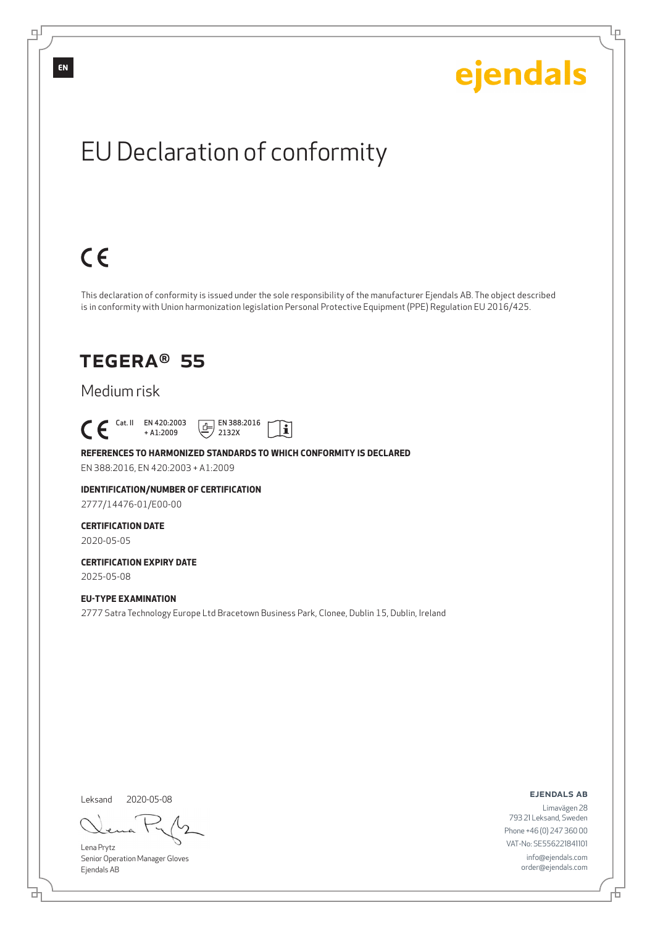Ļμ

## EU Declaration of conformity

## $C \in$

This declaration of conformity is issued under the sole responsibility of the manufacturer Ejendals AB. The object described is in conformity with Union harmonization legislation Personal Protective Equipment (PPE) Regulation EU 2016/425.

## TEGERA® 55

### Medium risk

 $\begin{bmatrix} \mathsf{Cat} & \mathsf{II} & \mathsf{EN} & 420:2003 \\ + & \mathsf{A} & 1:2009 \end{bmatrix}$ + A1:2009  $\boxed{E}$  EN 388:2016 2132X

#### **REFERENCES TO HARMONIZED STANDARDS TO WHICH CONFORMITY IS DECLARED**

 $|\tilde{\mathbf{i}}|$ 

EN 388:2016, EN 420:2003 + A1:2009

### **IDENTIFICATION/NUMBER OF CERTIFICATION**

2777/14476-01/E00-00

### **CERTIFICATION DATE**

2020-05-05

#### **CERTIFICATION EXPIRY DATE** 2025-05-08

**EU-TYPE EXAMINATION**

2777 Satra Technology Europe Ltd Bracetown Business Park, Clonee, Dublin 15, Dublin, Ireland

Leksand 2020-05-08

<u>다</u>

Lena Prytz Senior Operation Manager Gloves Ejendals AB

#### ejendals ab

舌

Limavägen 28 793 21 Leksand, Sweden Phone +46 (0) 247 360 00 VAT-No: SE556221841101 info@ejendals.com order@ejendals.com

**EN**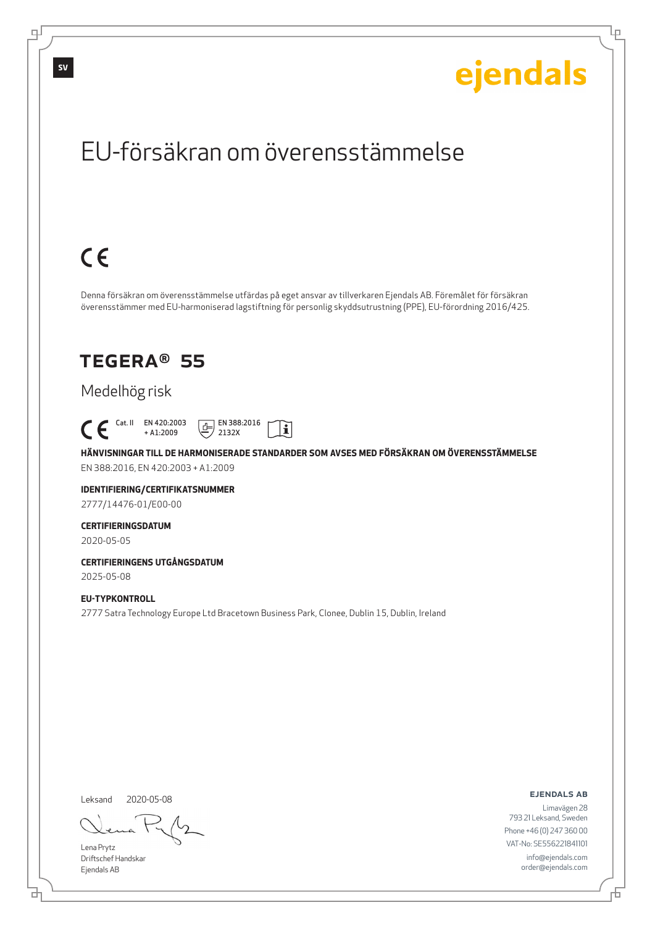Ļμ

## EU-försäkran om överensstämmelse

# $C \in$

Denna försäkran om överensstämmelse utfärdas på eget ansvar av tillverkaren Ejendals AB. Föremålet för försäkran överensstämmer med EU-harmoniserad lagstiftning för personlig skyddsutrustning (PPE), EU-förordning 2016/425.

## TEGERA® 55

### Medelhög risk



**HÄNVISNINGAR TILL DE HARMONISERADE STANDARDER SOM AVSES MED FÖRSÄKRAN OM ÖVERENSSTÄMMELSE** EN 388:2016, EN 420:2003 + A1:2009

**IDENTIFIERING/CERTIFIKATSNUMMER** 2777/14476-01/E00-00

#### **CERTIFIERINGSDATUM**

2020-05-05

**CERTIFIERINGENS UTGÅNGSDATUM** 2025-05-08

### **EU-TYPKONTROLL**

2777 Satra Technology Europe Ltd Bracetown Business Park, Clonee, Dublin 15, Dublin, Ireland

Leksand 2020-05-08

Lena Prytz Driftschef Handskar Ejendals AB

<u>다</u>

ejendals ab

Limavägen 28 793 21 Leksand, Sweden Phone +46 (0) 247 360 00 VAT-No: SE556221841101 info@ejendals.com order@ejendals.com

டி

**SV**

舌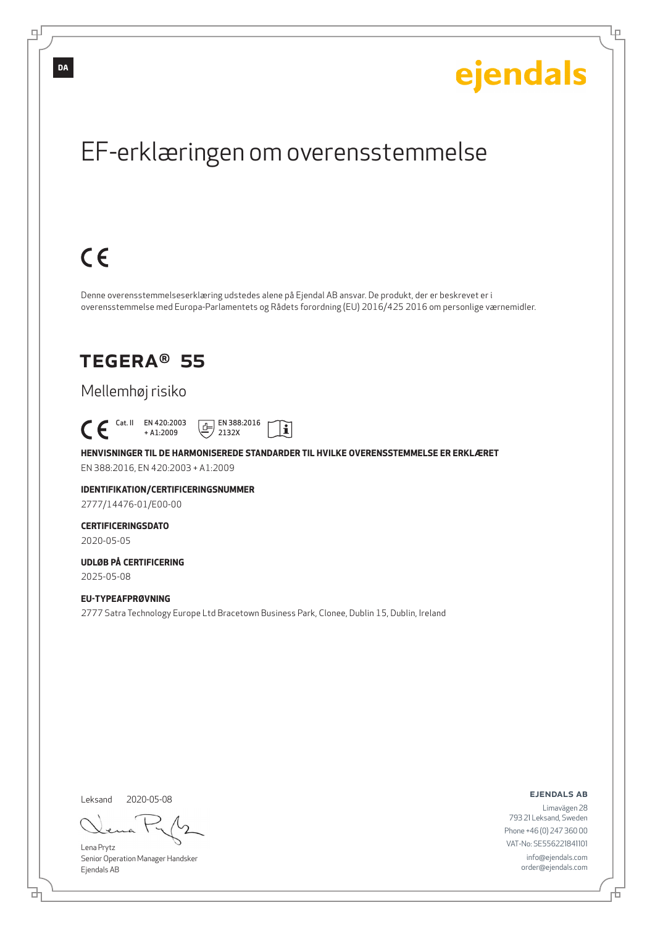Ļμ

## EF-erklæringen om overensstemmelse

## $C \in$

Denne overensstemmelseserklæring udstedes alene på Ejendal AB ansvar. De produkt, der er beskrevet er i overensstemmelse med Europa-Parlamentets og Rådets forordning (EU) 2016/425 2016 om personlige værnemidler.

## TEGERA® 55

### Mellemhøj risiko



**HENVISNINGER TIL DE HARMONISEREDE STANDARDER TIL HVILKE OVERENSSTEMMELSE ER ERKLÆRET** EN 388:2016, EN 420:2003 + A1:2009

**IDENTIFIKATION/CERTIFICERINGSNUMMER** 2777/14476-01/E00-00

**CERTIFICERINGSDATO**

2020-05-05

**UDLØB PÅ CERTIFICERING** 2025-05-08

**EU-TYPEAFPRØVNING** 2777 Satra Technology Europe Ltd Bracetown Business Park, Clonee, Dublin 15, Dublin, Ireland

Leksand 2020-05-08

브

Lena Prytz Senior Operation Manager Handsker Ejendals AB

ejendals ab

Đ

Limavägen 28 793 21 Leksand, Sweden Phone +46 (0) 247 360 00 VAT-No: SE556221841101 info@ejendals.com order@ejendals.com

**DA**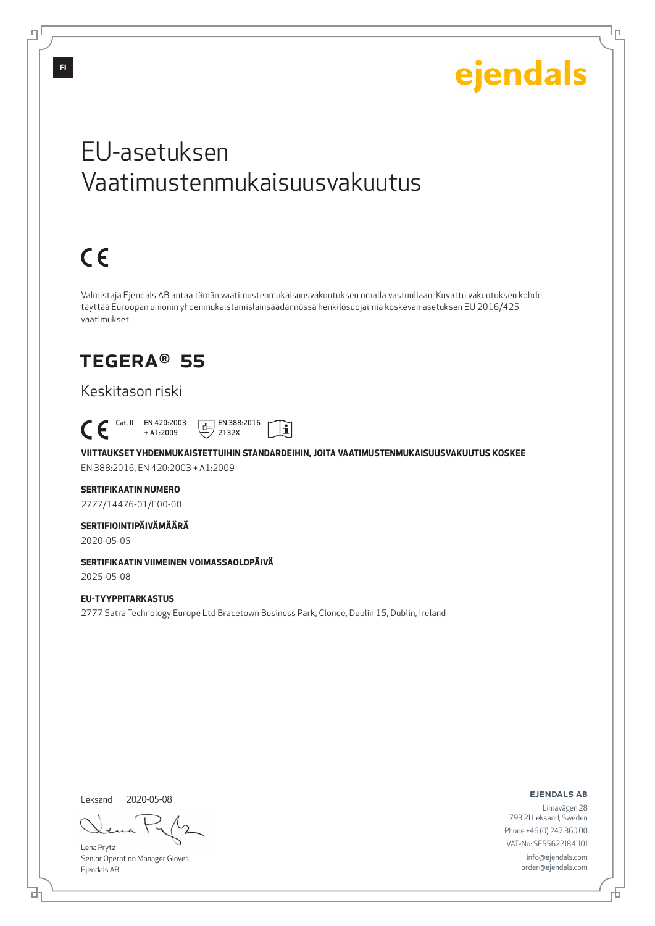Lμ

## EU-asetuksen Vaatimustenmukaisuusvakuutus

# $C \in$

Valmistaja Ejendals AB antaa tämän vaatimustenmukaisuusvakuutuksen omalla vastuullaan. Kuvattu vakuutuksen kohde täyttää Euroopan unionin yhdenmukaistamislainsäädännössä henkilösuojaimia koskevan asetuksen EU 2016/425 vaatimukset.

## TEGERA® 55

### Keskitason riski



**VIITTAUKSET YHDENMUKAISTETTUIHIN STANDARDEIHIN, JOITA VAATIMUSTENMUKAISUUSVAKUUTUS KOSKEE** EN 388:2016, EN 420:2003 + A1:2009

### **SERTIFIKAATIN NUMERO**

2777/14476-01/E00-00

### **SERTIFIOINTIPÄIVÄMÄÄRÄ**

2020-05-05

### **SERTIFIKAATIN VIIMEINEN VOIMASSAOLOPÄIVÄ**

2025-05-08

### **EU-TYYPPITARKASTUS** 2777 Satra Technology Europe Ltd Bracetown Business Park, Clonee, Dublin 15, Dublin, Ireland

Leksand 2020-05-08

Lena Prytz Senior Operation Manager Gloves Ejendals AB

ejendals ab

Đ

Limavägen 28 793 21 Leksand, Sweden Phone +46 (0) 247 360 00 VAT-No: SE556221841101 info@ejendals.com order@ejendals.com

டி

브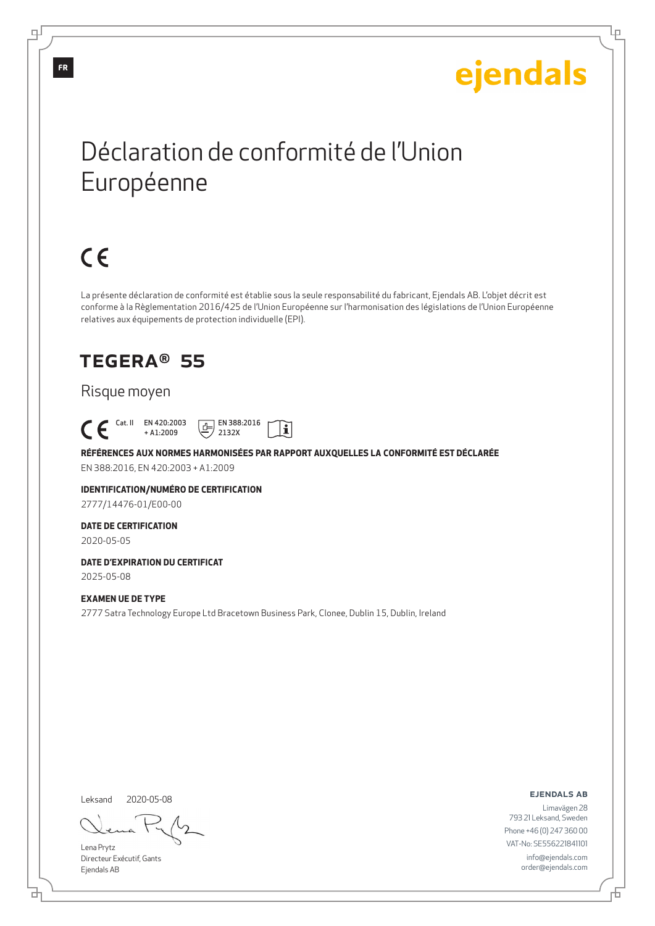Ļμ

## Déclaration de conformité de l'Union Européenne

# $C \in$

La présente déclaration de conformité est établie sous la seule responsabilité du fabricant, Ejendals AB. L'objet décrit est conforme à la Règlementation 2016/425 de l'Union Européenne sur l'harmonisation des législations de l'Union Européenne relatives aux équipements de protection individuelle (EPI).

## TEGERA® 55

### Risque moyen



**RÉFÉRENCES AUX NORMES HARMONISÉES PAR RAPPORT AUXQUELLES LA CONFORMITÉ EST DÉCLARÉE** EN 388:2016, EN 420:2003 + A1:2009

**IDENTIFICATION/NUMÉRO DE CERTIFICATION**

2777/14476-01/E00-00

### **DATE DE CERTIFICATION**

2020-05-05

**DATE D'EXPIRATION DU CERTIFICAT** 2025-05-08

#### **EXAMEN UE DE TYPE**

2777 Satra Technology Europe Ltd Bracetown Business Park, Clonee, Dublin 15, Dublin, Ireland

Leksand 2020-05-08

Lena Prytz Directeur Exécutif, Gants Ejendals AB

<u>다</u>

ejendals ab

Limavägen 28 793 21 Leksand, Sweden Phone +46 (0) 247 360 00 VAT-No: SE556221841101 info@ejendals.com order@ejendals.com

டி

**FR**

Đ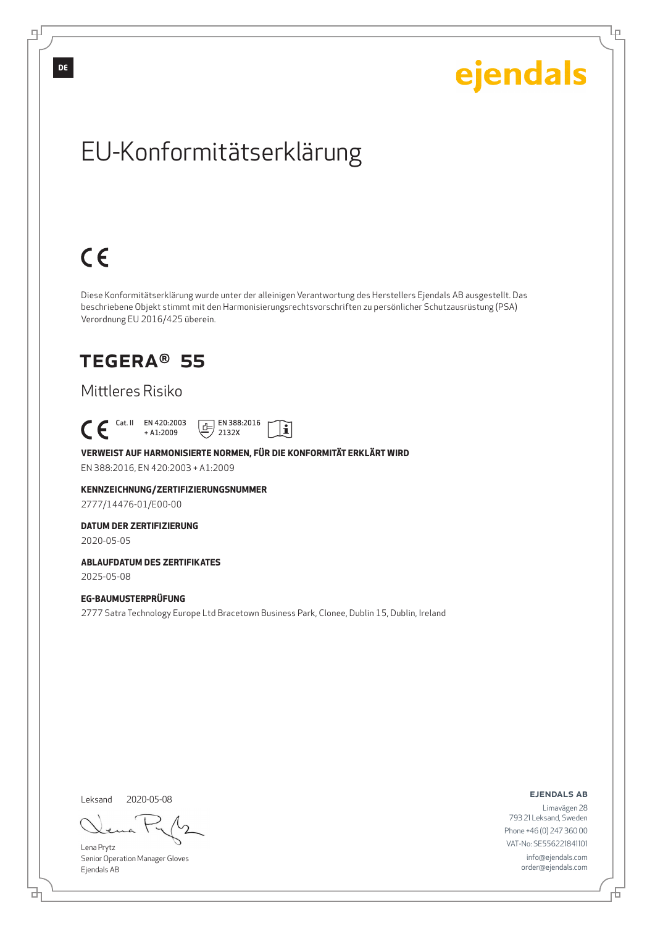Ļμ

## EU-Konformitätserklärung

# $C \in$

Diese Konformitätserklärung wurde unter der alleinigen Verantwortung des Herstellers Ejendals AB ausgestellt. Das beschriebene Objekt stimmt mit den Harmonisierungsrechtsvorschriften zu persönlicher Schutzausrüstung (PSA) Verordnung EU 2016/425 überein.

## TEGERA® 55

### Mittleres Risiko



### **VERWEIST AUF HARMONISIERTE NORMEN, FÜR DIE KONFORMITÄT ERKLÄRT WIRD**

EN 388:2016, EN 420:2003 + A1:2009

### **KENNZEICHNUNG/ZERTIFIZIERUNGSNUMMER**

2777/14476-01/E00-00

#### **DATUM DER ZERTIFIZIERUNG**

2020-05-05

## **ABLAUFDATUM DES ZERTIFIKATES**

2025-05-08

### **EG-BAUMUSTERPRÜFUNG**

2777 Satra Technology Europe Ltd Bracetown Business Park, Clonee, Dublin 15, Dublin, Ireland

Leksand 2020-05-08

<u>다</u>

Lena Prytz Senior Operation Manager Gloves Ejendals AB

#### ejendals ab

Đ

Limavägen 28 793 21 Leksand, Sweden Phone +46 (0) 247 360 00 VAT-No: SE556221841101 info@ejendals.com order@ejendals.com

**DE**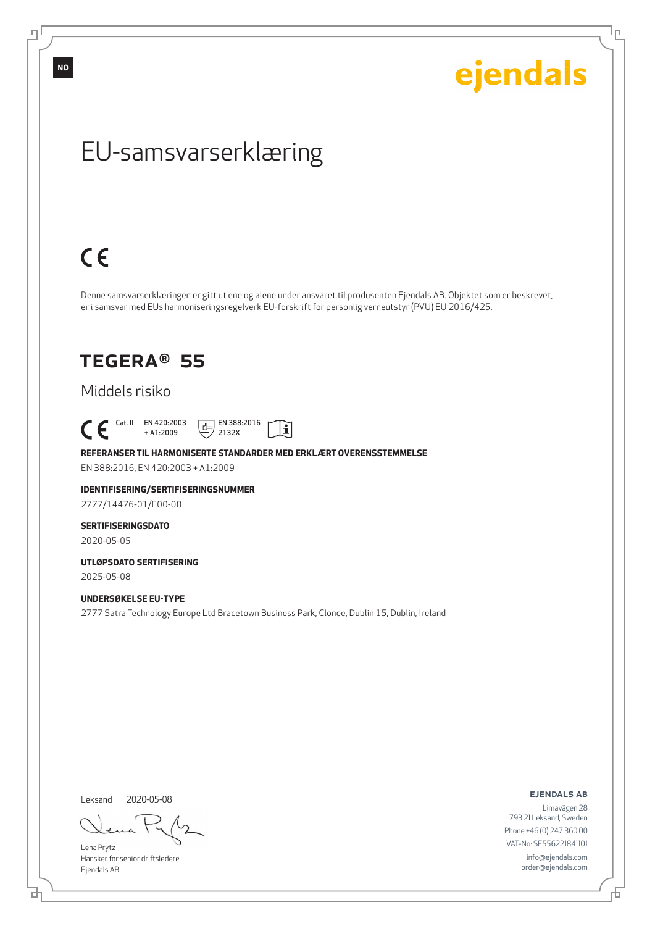டி

ejendals

Ļμ

## EU-samsvarserklæring

# $C \in$

Denne samsvarserklæringen er gitt ut ene og alene under ansvaret til produsenten Ejendals AB. Objektet som er beskrevet, er i samsvar med EUs harmoniseringsregelverk EU-forskrift for personlig verneutstyr (PVU) EU 2016/425.

## TEGERA® 55

### Middels risiko



**REFERANSER TIL HARMONISERTE STANDARDER MED ERKLÆRT OVERENSSTEMMELSE** EN 388:2016, EN 420:2003 + A1:2009

**IDENTIFISERING/SERTIFISERINGSNUMMER**

2777/14476-01/E00-00

### **SERTIFISERINGSDATO**

2020-05-05

**UTLØPSDATO SERTIFISERING** 2025-05-08

#### **UNDERSØKELSE EU-TYPE**

2777 Satra Technology Europe Ltd Bracetown Business Park, Clonee, Dublin 15, Dublin, Ireland

Leksand 2020-05-08

<u>다</u>

Lena Prytz Hansker for senior driftsledere Ejendals AB

ejendals ab

Limavägen 28 793 21 Leksand, Sweden Phone +46 (0) 247 360 00 VAT-No: SE556221841101 info@ejendals.com order@ejendals.com

舌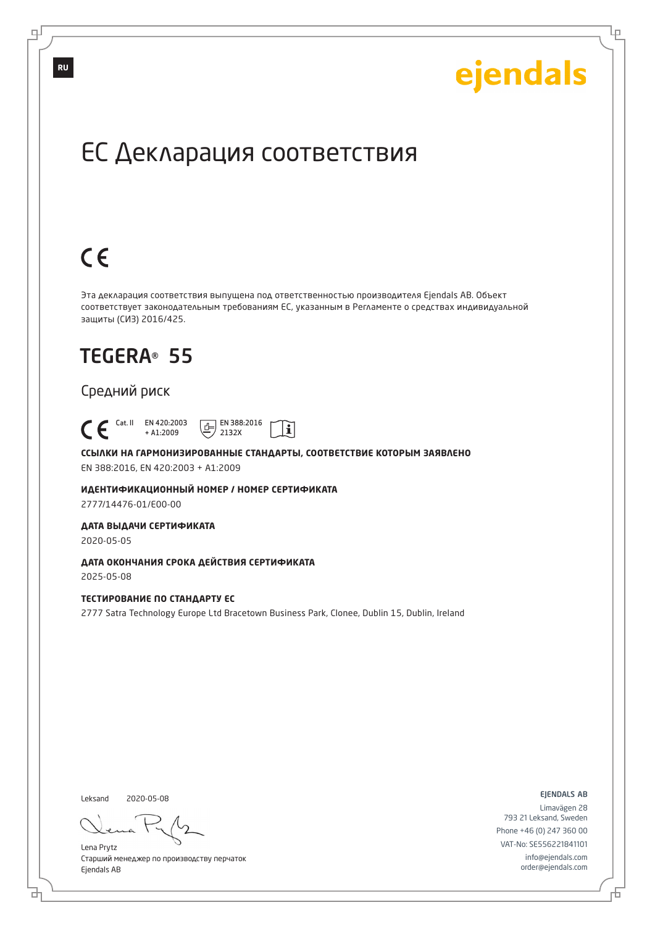Ļμ

## ЕС Декларация соответствия

# $C \in$

Эта декларация соответствия выпущена под ответственностью производителя Ejendals AB. Объект соответствует законодательным требованиям ЕС, указанным в Регламенте о средствах индивидуальной защиты (СИЗ) 2016/425.

## TEGERA® 55

### Средний риск



**ССЫЛКИ НА ГАРМОНИЗИРОВАННЫЕ СТАНДАРТЫ, СООТВЕТСТВИЕ КОТОРЫМ ЗАЯВЛЕНО** EN 388:2016, EN 420:2003 + A1:2009

**ИДЕНТИФИКАЦИОННЫЙ НОМЕР / НОМЕР СЕРТИФИКАТА**

2777/14476-01/E00-00

#### **ДАТА ВЫДАЧИ СЕРТИФИКАТА**

2020-05-05

#### **ДАТА ОКОНЧАНИЯ СРОКА ДЕЙСТВИЯ СЕРТИФИКАТА** 2025-05-08

**ТЕСТИРОВАНИЕ ПО СТАНДАРТУ ЕС**

2777 Satra Technology Europe Ltd Bracetown Business Park, Clonee, Dublin 15, Dublin, Ireland

Leksand 2020-05-08

브

Lena Prytz Старший менеджер по производству перчаток Ejendals AB

ejendals ab

Đ

Limavägen 28 793 21 Leksand, Sweden Phone +46 (0) 247 360 00 VAT-No: SE556221841101 info@ejendals.com order@ejendals.com

**RU**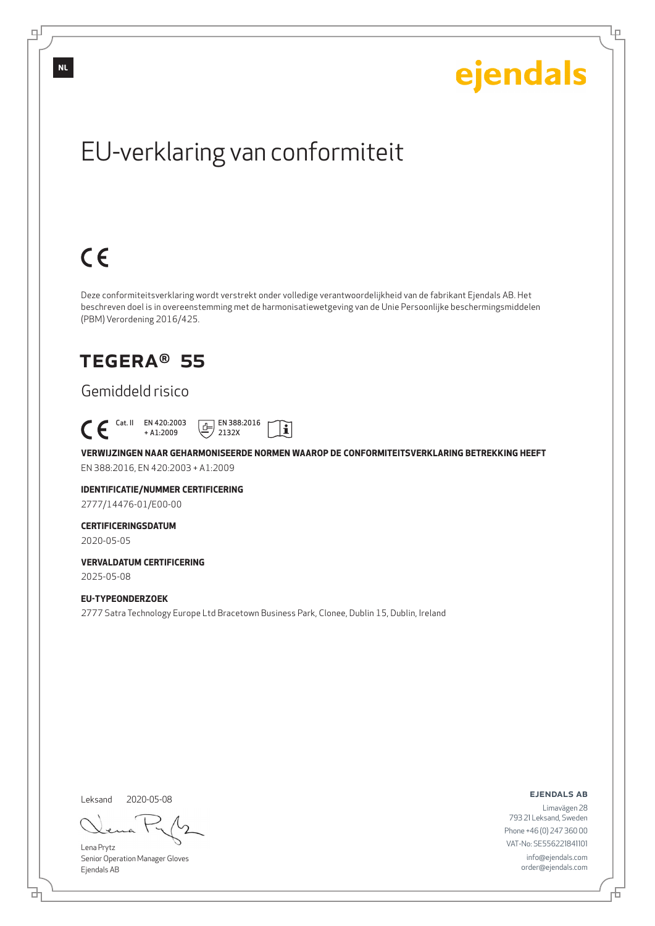Ļμ

# EU-verklaring van conformiteit

# $C \in$

Deze conformiteitsverklaring wordt verstrekt onder volledige verantwoordelijkheid van de fabrikant Ejendals AB. Het beschreven doel is in overeenstemming met de harmonisatiewetgeving van de Unie Persoonlijke beschermingsmiddelen (PBM) Verordening 2016/425.

## TEGERA® 55

### Gemiddeld risico



**VERWIJZINGEN NAAR GEHARMONISEERDE NORMEN WAAROP DE CONFORMITEITSVERKLARING BETREKKING HEEFT** EN 388:2016, EN 420:2003 + A1:2009

**IDENTIFICATIE/NUMMER CERTIFICERING** 2777/14476-01/E00-00

#### **CERTIFICERINGSDATUM**

2020-05-05

**VERVALDATUM CERTIFICERING** 2025-05-08

#### **EU-TYPEONDERZOEK**

2777 Satra Technology Europe Ltd Bracetown Business Park, Clonee, Dublin 15, Dublin, Ireland

Leksand 2020-05-08

<u>다</u>

Lena Prytz Senior Operation Manager Gloves Ejendals AB

ejendals ab

Limavägen 28 793 21 Leksand, Sweden Phone +46 (0) 247 360 00 VAT-No: SE556221841101 info@ejendals.com order@ejendals.com

டி

**NL**

Đ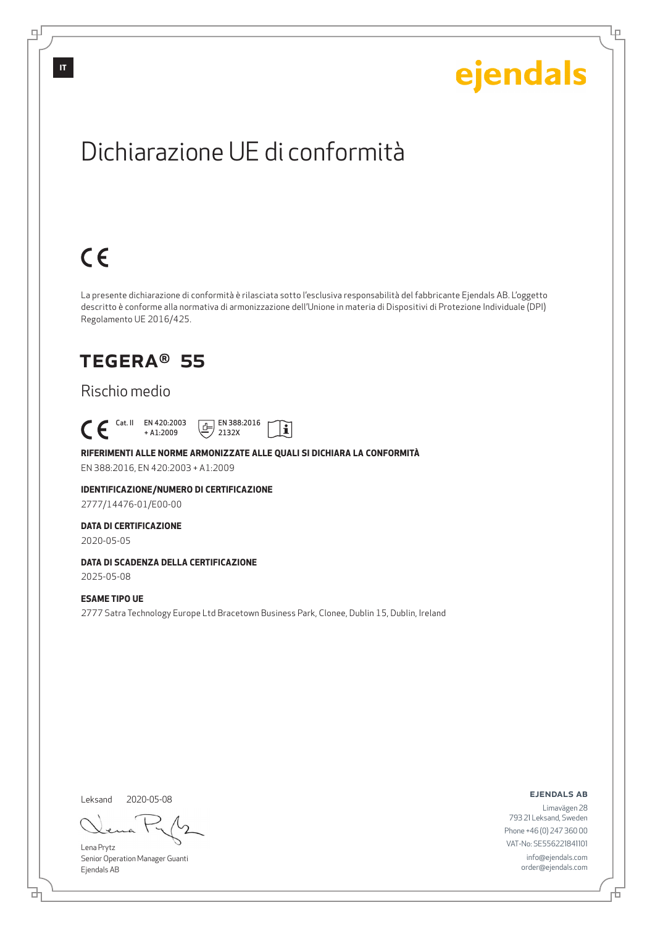Lρ

## Dichiarazione UE di conformità

# $C \in$

La presente dichiarazione di conformità è rilasciata sotto l'esclusiva responsabilità del fabbricante Ejendals AB. L'oggetto descritto è conforme alla normativa di armonizzazione dell'Unione in materia di Dispositivi di Protezione Individuale (DPI) Regolamento UE 2016/425.

## TEGERA® 55

### Rischio medio



#### **RIFERIMENTI ALLE NORME ARMONIZZATE ALLE QUALI SI DICHIARA LA CONFORMITÀ**

EN 388:2016, EN 420:2003 + A1:2009

### **IDENTIFICAZIONE/NUMERO DI CERTIFICAZIONE**

2777/14476-01/E00-00

#### **DATA DI CERTIFICAZIONE**

2020-05-05

### **DATA DI SCADENZA DELLA CERTIFICAZIONE**

2025-05-08

#### **ESAME TIPO UE**

2777 Satra Technology Europe Ltd Bracetown Business Park, Clonee, Dublin 15, Dublin, Ireland

Leksand 2020-05-08

<u>다</u>

Lena Prytz

Senior Operation Manager Guanti Ejendals AB

ejendals ab

Đ

Limavägen 28 793 21 Leksand, Sweden Phone +46 (0) 247 360 00 VAT-No: SE556221841101 info@ejendals.com order@ejendals.com

டி

**IT**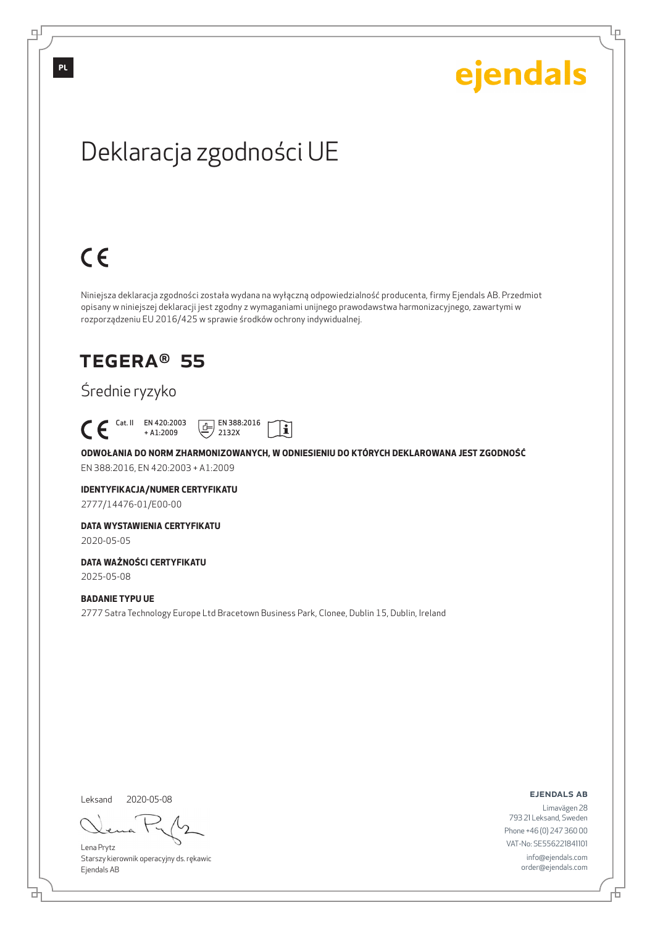Lρ

## Deklaracja zgodności UE

# $C \in$

Niniejsza deklaracja zgodności została wydana na wyłączną odpowiedzialność producenta, firmy Ejendals AB. Przedmiot opisany w niniejszej deklaracji jest zgodny z wymaganiami unijnego prawodawstwa harmonizacyjnego, zawartymi w rozporządzeniu EU 2016/425 w sprawie środków ochrony indywidualnej.

## TEGERA® 55

### Średnie ryzyko



**ODWOŁANIA DO NORM ZHARMONIZOWANYCH, W ODNIESIENIU DO KTÓRYCH DEKLAROWANA JEST ZGODNOŚĆ** EN 388:2016, EN 420:2003 + A1:2009

#### **IDENTYFIKACJA/NUMER CERTYFIKATU**

2777/14476-01/E00-00

#### **DATA WYSTAWIENIA CERTYFIKATU**

2020-05-05

### **DATA WAŻNOŚCI CERTYFIKATU**

2025-05-08

### **BADANIE TYPU UE**

2777 Satra Technology Europe Ltd Bracetown Business Park, Clonee, Dublin 15, Dublin, Ireland

Leksand 2020-05-08

<u>다</u>

Lena Prytz Starszy kierownik operacyjny ds. rękawic Ejendals AB

ejendals ab

Đ

Limavägen 28 793 21 Leksand, Sweden Phone +46 (0) 247 360 00 VAT-No: SE556221841101 info@ejendals.com order@ejendals.com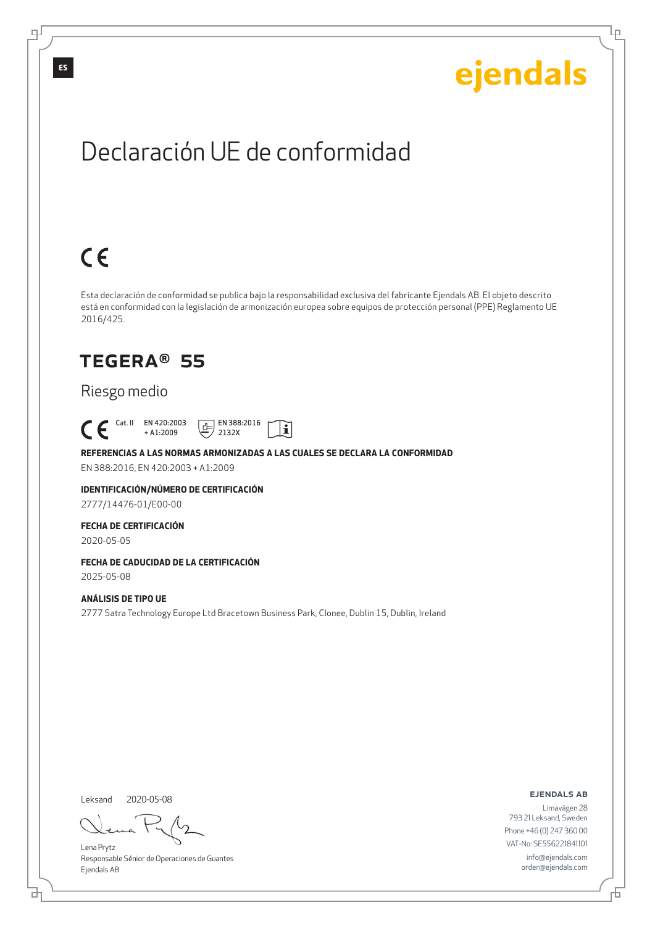Lρ

## Declaración UE de conformidad

# $C \in$

Esta declaración de conformidad se publica bajo la responsabilidad exclusiva del fabricante Ejendals AB. El objeto descrito está en conformidad con la legislación de armonización europea sobre equipos de protección personal (PPE) Reglamento UE 2016/425.

## TEGERA® 55

### Riesgo medio



**REFERENCIAS A LAS NORMAS ARMONIZADAS A LAS CUALES SE DECLARA LA CONFORMIDAD** EN 388:2016, EN 420:2003 + A1:2009

**IDENTIFICACIÓN/NÚMERO DE CERTIFICACIÓN**

2777/14476-01/E00-00

#### **FECHA DE CERTIFICACIÓN**

2020-05-05

## **FECHA DE CADUCIDAD DE LA CERTIFICACIÓN**

2025-05-08

### **ANÁLISIS DE TIPO UE**

2777 Satra Technology Europe Ltd Bracetown Business Park, Clonee, Dublin 15, Dublin, Ireland

Leksand 2020-05-08

<u>다</u>

Lena Prytz Responsable Sénior de Operaciones de Guantes Ejendals AB

ejendals ab

Đ

Limavägen 28 793 21 Leksand, Sweden Phone +46 (0) 247 360 00 VAT-No: SE556221841101 info@ejendals.com order@ejendals.com

டி

**ES**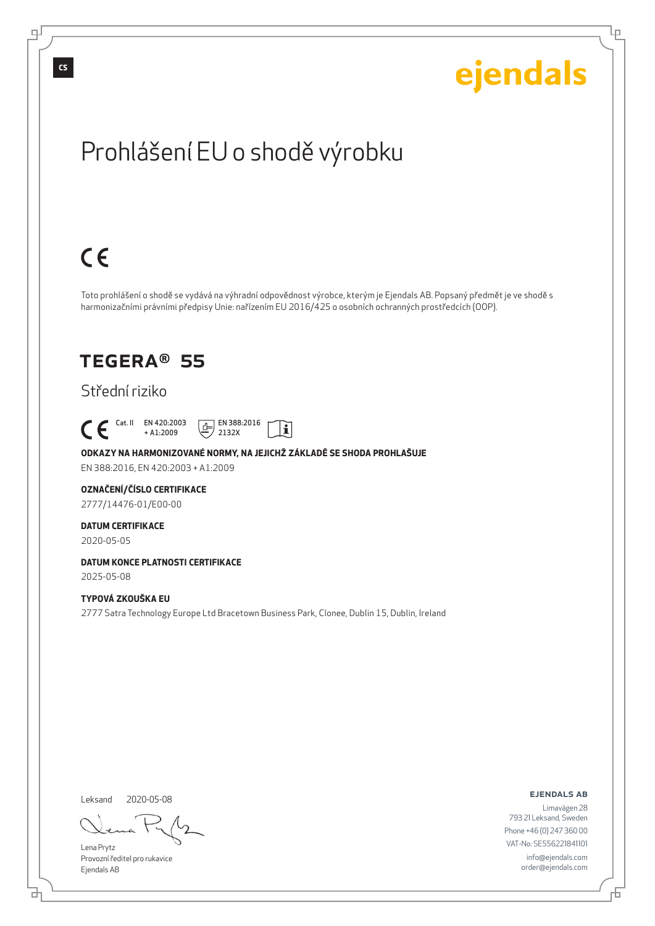டி

# ejendals

Ļμ

## Prohlášení EU o shodě výrobku

# $C \in$

Toto prohlášení o shodě se vydává na výhradní odpovědnost výrobce, kterým je Ejendals AB. Popsaný předmět je ve shodě s harmonizačními právními předpisy Unie: nařízením EU 2016/425 o osobních ochranných prostředcích (OOP).

## TEGERA® 55

### Střední riziko



**ODKAZY NA HARMONIZOVANÉ NORMY, NA JEJICHŽ ZÁKLADĚ SE SHODA PROHLAŠUJE** EN 388:2016, EN 420:2003 + A1:2009

 $|\v{1}|$ 

### **OZNAČENÍ/ČÍSLO CERTIFIKACE**

2777/14476-01/E00-00

#### **DATUM CERTIFIKACE**

2020-05-05

## **DATUM KONCE PLATNOSTI CERTIFIKACE**

2025-05-08

### **TYPOVÁ ZKOUŠKA EU**

2777 Satra Technology Europe Ltd Bracetown Business Park, Clonee, Dublin 15, Dublin, Ireland

Leksand 2020-05-08

đ

Lena Prytz Provozní ředitel pro rukavice Ejendals AB

ejendals ab

Đ

Limavägen 28 793 21 Leksand, Sweden Phone +46 (0) 247 360 00 VAT-No: SE556221841101 info@ejendals.com order@ejendals.com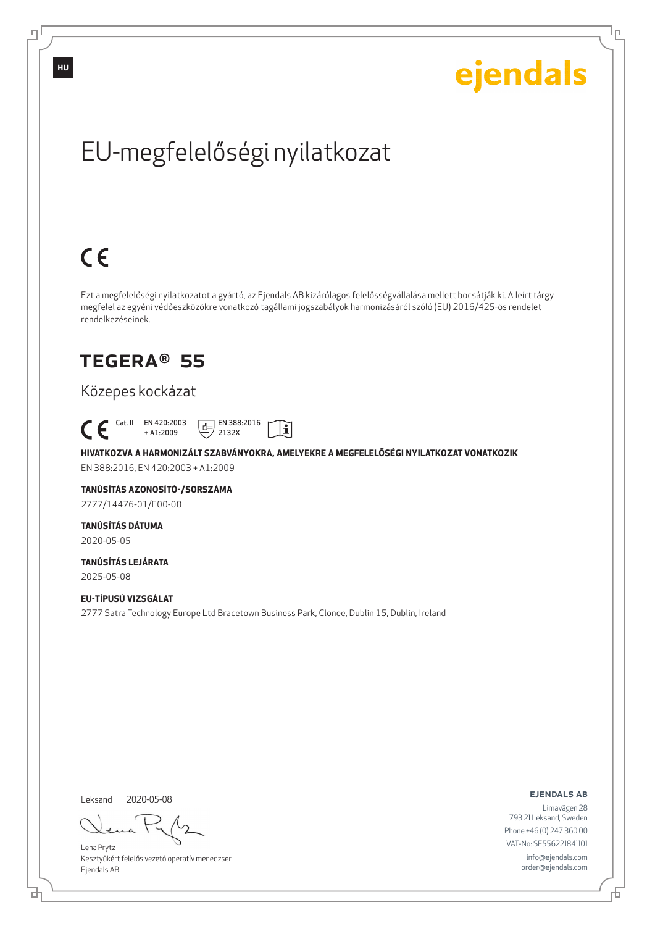Ļμ

# EU-megfelelőségi nyilatkozat

# $C \in$

Ezt a megfelelőségi nyilatkozatot a gyártó, az Ejendals AB kizárólagos felelősségvállalása mellett bocsátják ki. A leírt tárgy megfelel az egyéni védőeszközökre vonatkozó tagállami jogszabályok harmonizásáról szóló (EU) 2016/425-ös rendelet rendelkezéseinek.

## TEGERA® 55

### Közepes kockázat



**HIVATKOZVA A HARMONIZÁLT SZABVÁNYOKRA, AMELYEKRE A MEGFELELŐSÉGI NYILATKOZAT VONATKOZIK** EN 388:2016, EN 420:2003 + A1:2009

**TANÚSÍTÁS AZONOSÍTÓ-/SORSZÁMA** 2777/14476-01/E00-00

### **TANÚSÍTÁS DÁTUMA**

2020-05-05

**TANÚSÍTÁS LEJÁRATA** 2025-05-08

### **EU-TÍPUSÚ VIZSGÁLAT** 2777 Satra Technology Europe Ltd Bracetown Business Park, Clonee, Dublin 15, Dublin, Ireland

Leksand 2020-05-08

브

Lena Prytz Kesztyűkért felelős vezető operatív menedzser Ejendals AB

ejendals ab

Б

Limavägen 28 793 21 Leksand, Sweden Phone +46 (0) 247 360 00 VAT-No: SE556221841101 info@ejendals.com order@ejendals.com

டி

**HU**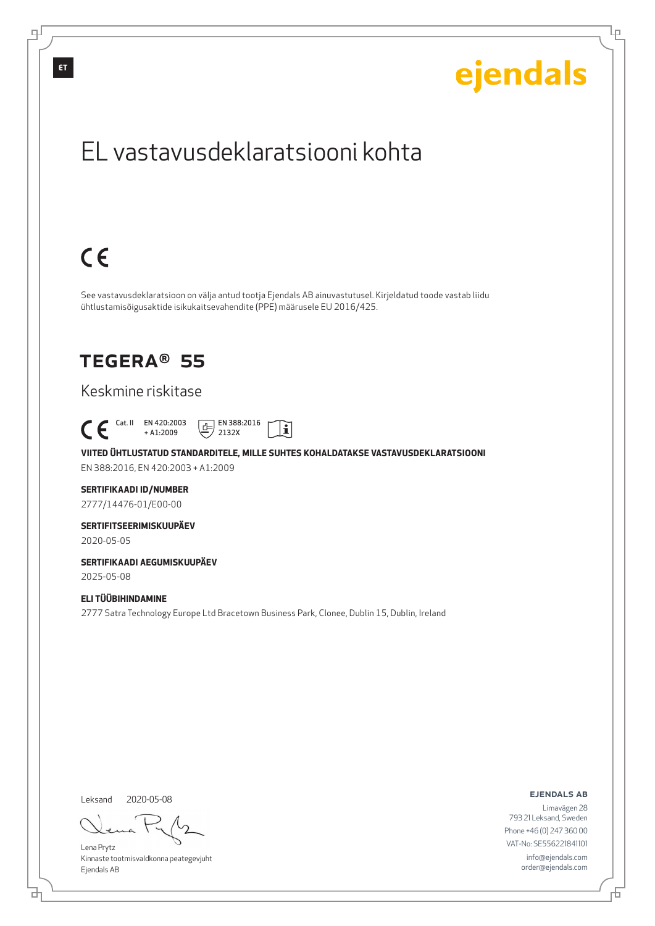Lρ

## EL vastavusdeklaratsiooni kohta

# $C \in$

See vastavusdeklaratsioon on välja antud tootja Ejendals AB ainuvastutusel. Kirjeldatud toode vastab liidu ühtlustamisõigusaktide isikukaitsevahendite (PPE) määrusele EU 2016/425.

## TEGERA® 55

### Keskmine riskitase



**VIITED ÜHTLUSTATUD STANDARDITELE, MILLE SUHTES KOHALDATAKSE VASTAVUSDEKLARATSIOONI** EN 388:2016, EN 420:2003 + A1:2009

### **SERTIFIKAADI ID/NUMBER**

2777/14476-01/E00-00

### **SERTIFITSEERIMISKUUPÄEV**

2020-05-05

#### **SERTIFIKAADI AEGUMISKUUPÄEV** 2025-05-08

#### **ELI TÜÜBIHINDAMINE**

2777 Satra Technology Europe Ltd Bracetown Business Park, Clonee, Dublin 15, Dublin, Ireland

Leksand 2020-05-08

<u>다</u>

Lena Prytz Kinnaste tootmisvaldkonna peategevjuht Ejendals AB

ejendals ab

Đ

Limavägen 28 793 21 Leksand, Sweden Phone +46 (0) 247 360 00 VAT-No: SE556221841101 info@ejendals.com order@ejendals.com

டி

**ET**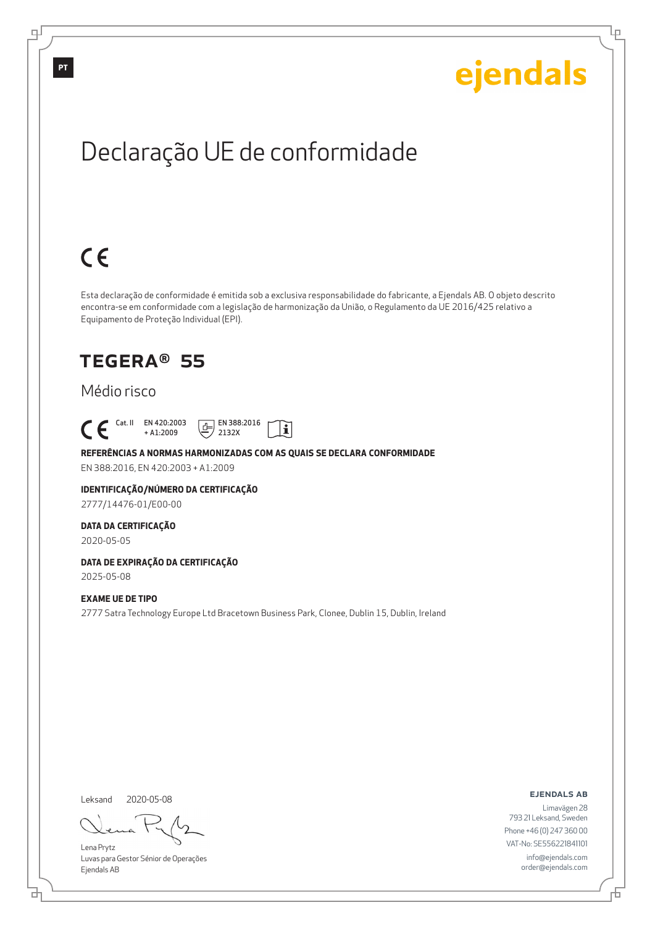Ļμ

## Declaração UE de conformidade

# $C \in$

Esta declaração de conformidade é emitida sob a exclusiva responsabilidade do fabricante, a Ejendals AB. O objeto descrito encontra-se em conformidade com a legislação de harmonização da União, o Regulamento da UE 2016/425 relativo a Equipamento de Proteção Individual (EPI).

## TEGERA® 55

### Médio risco

 Cat. II EN 420:2003 + A1:2009  $\boxed{E}$  EN 388:2016 2132X

### **REFERÊNCIAS A NORMAS HARMONIZADAS COM AS QUAIS SE DECLARA CONFORMIDADE**

 $|\v{1}|$ 

EN 388:2016, EN 420:2003 + A1:2009

### **IDENTIFICAÇÃO/NÚMERO DA CERTIFICAÇÃO**

2777/14476-01/E00-00

#### **DATA DA CERTIFICAÇÃO**

2020-05-05

#### **DATA DE EXPIRAÇÃO DA CERTIFICAÇÃO** 2025-05-08

### **EXAME UE DE TIPO**

2777 Satra Technology Europe Ltd Bracetown Business Park, Clonee, Dublin 15, Dublin, Ireland

Leksand 2020-05-08

브

Lena Prytz Luvas para Gestor Sénior de Operações Ejendals AB

ejendals ab

Б

Limavägen 28 793 21 Leksand, Sweden Phone +46 (0) 247 360 00 VAT-No: SE556221841101 info@ejendals.com order@ejendals.com

டி

**PT**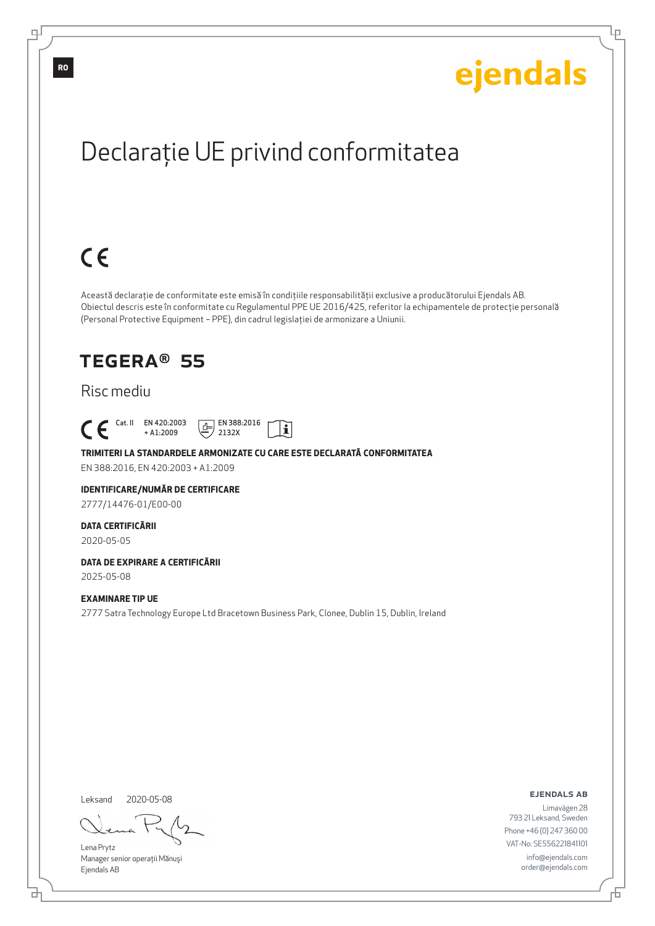Ļμ

# Declaraţie UE privind conformitatea

# $C \in$

Această declaraţie de conformitate este emisă în condiţiile responsabilităţii exclusive a producătorului Ejendals AB. Obiectul descris este în conformitate cu Regulamentul PPE UE 2016/425, referitor la echipamentele de protecţie personală (Personal Protective Equipment – PPE), din cadrul legislaţiei de armonizare a Uniunii.

## TEGERA® 55

### Risc mediu

 Cat. II EN 420:2003 + A1:2009  $\boxed{E}$  EN 388:2016 2132X

### **TRIMITERI LA STANDARDELE ARMONIZATE CU CARE ESTE DECLARATĂ CONFORMITATEA**

 $|\tilde{\mathbf{i}}|$ 

EN 388:2016, EN 420:2003 + A1:2009

### **IDENTIFICARE/NUMĂR DE CERTIFICARE**

2777/14476-01/E00-00

### **DATA CERTIFICĂRII**

2020-05-05

#### **DATA DE EXPIRARE A CERTIFICĂRII** 2025-05-08

**EXAMINARE TIP UE**

2777 Satra Technology Europe Ltd Bracetown Business Park, Clonee, Dublin 15, Dublin, Ireland

Leksand 2020-05-08

브

Lena Prytz Manager senior operaţii Mănuşi Ejendals AB

ejendals ab

Đ

Limavägen 28 793 21 Leksand, Sweden Phone +46 (0) 247 360 00 VAT-No: SE556221841101 info@ejendals.com order@ejendals.com

**RO**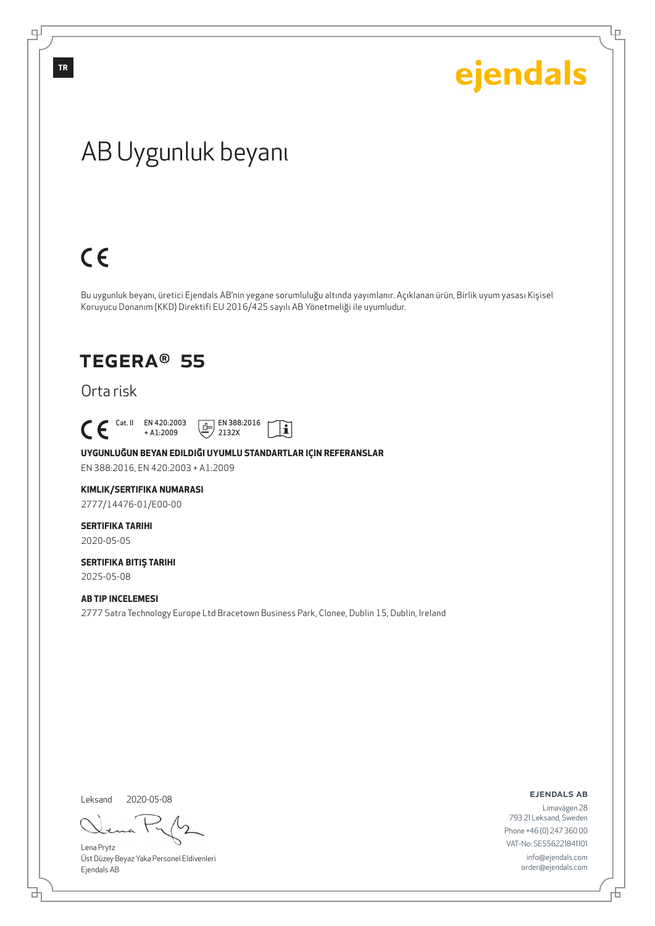Ļμ

## AB Uygunluk beyanı

## $C \in$

Bu uygunluk beyanı, üretici Ejendals AB'nin yegane sorumluluğu altında yayımlanır. Açıklanan ürün, Birlik uyum yasası Kişisel Koruyucu Donanım (KKD) Direktifi EU 2016/425 sayılı AB Yönetmeliği ile uyumludur.

 $\bf \widetilde{E}$ 

## TEGERA® 55

Orta risk

 $\begin{bmatrix} \mathsf{Cat} & \mathsf{II} & \mathsf{EN} & 420:2003 \\ + & \mathsf{A} & 1:2009 \end{bmatrix}$ + A1:2009  $\boxed{E}$  EN 388:2016 2132X

**UYGUNLUĞUN BEYAN EDILDIĞI UYUMLU STANDARTLAR IÇIN REFERANSLAR**

EN 388:2016, EN 420:2003 + A1:2009

#### **KIMLIK/SERTIFIKA NUMARASI**

2777/14476-01/E00-00

### **SERTIFIKA TARIHI**

2020-05-05

#### **SERTIFIKA BITIŞ TARIHI** 2025-05-08

**AB TIP INCELEMESI**

2777 Satra Technology Europe Ltd Bracetown Business Park, Clonee, Dublin 15, Dublin, Ireland

Leksand 2020-05-08

đ

Lena Prytz Üst Düzey Beyaz Yaka Personel Eldivenleri Ejendals AB

ejendals ab

舌

Limavägen 28 793 21 Leksand, Sweden Phone +46 (0) 247 360 00 VAT-No: SE556221841101 info@ejendals.com order@ejendals.com

**TR**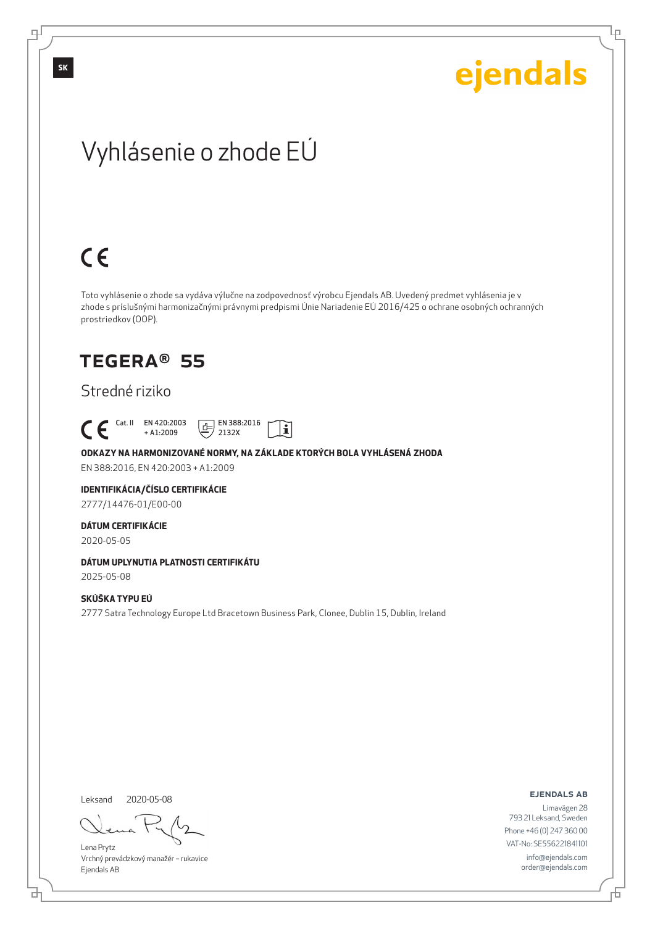Lρ

## Vyhlásenie o zhode EÚ

# $C \in$

Toto vyhlásenie o zhode sa vydáva výlučne na zodpovednosť výrobcu Ejendals AB. Uvedený predmet vyhlásenia je v zhode s príslušnými harmonizačnými právnymi predpismi Únie Nariadenie EÚ 2016/425 o ochrane osobných ochranných prostriedkov (OOP).

## TEGERA® 55

### Stredné riziko



**ODKAZY NA HARMONIZOVANÉ NORMY, NA ZÁKLADE KTORÝCH BOLA VYHLÁSENÁ ZHODA** EN 388:2016, EN 420:2003 + A1:2009

## **IDENTIFIKÁCIA/ČÍSLO CERTIFIKÁCIE**

2777/14476-01/E00-00

### **DÁTUM CERTIFIKÁCIE**

2020-05-05

### **DÁTUM UPLYNUTIA PLATNOSTI CERTIFIKÁTU**

2025-05-08

### **SKÚŠKA TYPU EÚ**

2777 Satra Technology Europe Ltd Bracetown Business Park, Clonee, Dublin 15, Dublin, Ireland

Leksand

<u>다</u>

2020-05-08

Lena Prytz Vrchný prevádzkový manažér – rukavice Ejendals AB

#### ejendals ab

Limavägen 28 793 21 Leksand, Sweden Phone +46 (0) 247 360 00 VAT-No: SE556221841101 info@ejendals.com order@ejendals.com

டி

**SK**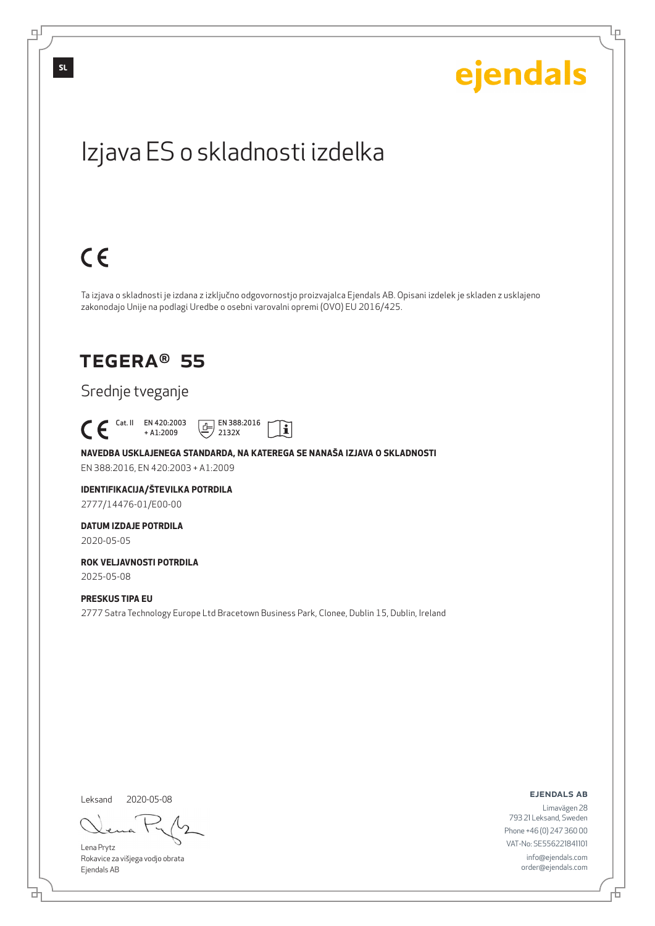Lρ

## Izjava ES o skladnosti izdelka

# $C \in$

Ta izjava o skladnosti je izdana z izključno odgovornostjo proizvajalca Ejendals AB. Opisani izdelek je skladen z usklajeno zakonodajo Unije na podlagi Uredbe o osebni varovalni opremi (OVO) EU 2016/425.

## TEGERA® 55

### Srednje tveganje



**NAVEDBA USKLAJENEGA STANDARDA, NA KATEREGA SE NANAŠA IZJAVA O SKLADNOSTI** EN 388:2016, EN 420:2003 + A1:2009

#### **IDENTIFIKACIJA/ŠTEVILKA POTRDILA** 2777/14476-01/E00-00

### **DATUM IZDAJE POTRDILA**

2020-05-05

#### **ROK VELJAVNOSTI POTRDILA** 2025-05-08

### **PRESKUS TIPA EU**

2777 Satra Technology Europe Ltd Bracetown Business Park, Clonee, Dublin 15, Dublin, Ireland

Leksand 2020-05-08

<u>다</u>

Lena Prytz Rokavice za višjega vodjo obrata Ejendals AB

ejendals ab

Limavägen 28 793 21 Leksand, Sweden Phone +46 (0) 247 360 00 VAT-No: SE556221841101 info@ejendals.com order@ejendals.com

டி

**SL**

Đ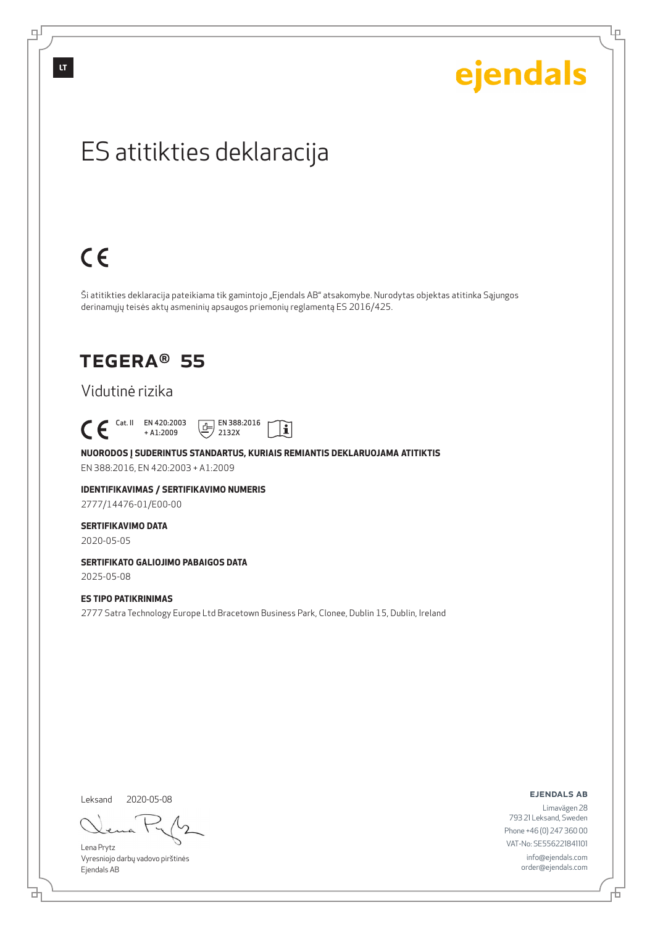டி

# ejendals

Lρ

## ES atitikties deklaracija

## $C \in$

Ši atitikties deklaracija pateikiama tik gamintojo "Ejendals AB" atsakomybe. Nurodytas objektas atitinka Sąjungos derinamųjų teisės aktų asmeninių apsaugos priemonių reglamentą ES 2016/425.

## TEGERA® 55

### Vidutinė rizika



**NUORODOS Į SUDERINTUS STANDARTUS, KURIAIS REMIANTIS DEKLARUOJAMA ATITIKTIS** EN 388:2016, EN 420:2003 + A1:2009

### **IDENTIFIKAVIMAS / SERTIFIKAVIMO NUMERIS**

2777/14476-01/E00-00

#### **SERTIFIKAVIMO DATA**

2020-05-05

### **SERTIFIKATO GALIOJIMO PABAIGOS DATA**

2025-05-08

### **ES TIPO PATIKRINIMAS**

2777 Satra Technology Europe Ltd Bracetown Business Park, Clonee, Dublin 15, Dublin, Ireland

Leksand 2020-05-08

<u>다</u>

Lena Prytz Vyresniojo darbų vadovo pirštinės Ejendals AB

ejendals ab

Đ

Limavägen 28 793 21 Leksand, Sweden Phone +46 (0) 247 360 00 VAT-No: SE556221841101 info@ejendals.com order@ejendals.com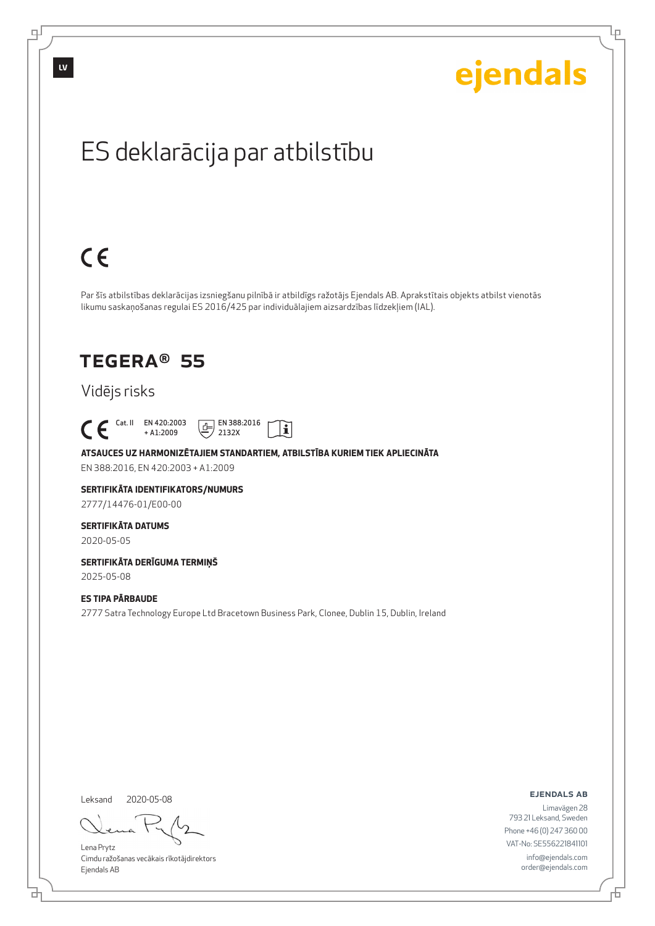Lρ

## ES deklarācija par atbilstību

# $C \in$

Par šīs atbilstības deklarācijas izsniegšanu pilnībā ir atbildīgs ražotājs Ejendals AB. Aprakstītais objekts atbilst vienotās likumu saskaņošanas regulai ES 2016/425 par individuālajiem aizsardzības līdzekļiem (IAL).

## TEGERA® 55

### Vidējs risks

 Cat. II EN 420:2003 + A1:2009  $\boxed{E}$  EN 388:2016 2132X

**ATSAUCES UZ HARMONIZĒTAJIEM STANDARTIEM, ATBILSTĪBA KURIEM TIEK APLIECINĀTA** EN 388:2016, EN 420:2003 + A1:2009

 $|\tilde{\mathbf{i}}|$ 

#### **SERTIFIKĀTA IDENTIFIKATORS/NUMURS** 2777/14476-01/E00-00

**SERTIFIKĀTA DATUMS**

2020-05-05

#### **SERTIFIKĀTA DERĪGUMA TERMIŅŠ** 2025-05-08

#### **ES TIPA PĀRBAUDE**

2777 Satra Technology Europe Ltd Bracetown Business Park, Clonee, Dublin 15, Dublin, Ireland

Leksand 2020-05-08

<u>다</u>

Lena Prytz Cimdu ražošanas vecākais rīkotājdirektors Ejendals AB

ejendals ab

Б

Limavägen 28 793 21 Leksand, Sweden Phone +46 (0) 247 360 00 VAT-No: SE556221841101 info@ejendals.com order@ejendals.com

**LV**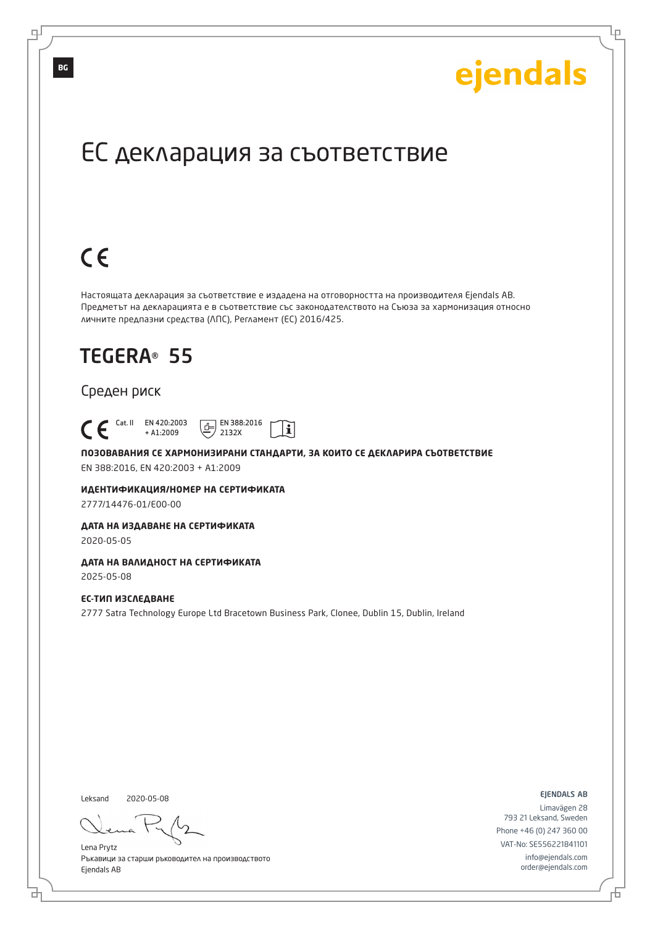Lр

## ЕС декларация за съответствие

# $C \in$

Настоящата декларация за съответствие е издадена на отговорността на производителя Ejendals AB. Предметът на декларацията е в съответствие със законодателството на Съюза за хармонизация относно личните предпазни средства (ЛПС), Регламент (ЕС) 2016/425.

## TEGERA® 55

### Среден риск



**ПОЗОВАВАНИЯ СЕ ХАРМОНИЗИРАНИ СТАНДАРТИ, ЗА КОИТО СЕ ДЕКЛАРИРА СЪОТВЕТСТВИЕ** EN 388:2016, EN 420:2003 + A1:2009

#### **ИДЕНТИФИКАЦИЯ/НОМЕР НА СЕРТИФИКАТА**

2777/14476-01/E00-00

#### **ДАТА НА ИЗДАВАНЕ НА СЕРТИФИКАТА**

2020-05-05

### **ДАТА НА ВАЛИДНОСТ НА СЕРТИФИКАТА**

2025-05-08

### **ЕС-ТИП ИЗСЛЕДВАНЕ**

2777 Satra Technology Europe Ltd Bracetown Business Park, Clonee, Dublin 15, Dublin, Ireland

Leksand 2020-05-08

브

Lena Prytz Ръкавици за старши ръководител на производството Ejendals AB

ejendals ab

Đ

Limavägen 28 793 21 Leksand, Sweden Phone +46 (0) 247 360 00 VAT-No: SE556221841101 info@ejendals.com order@ejendals.com

**BG**